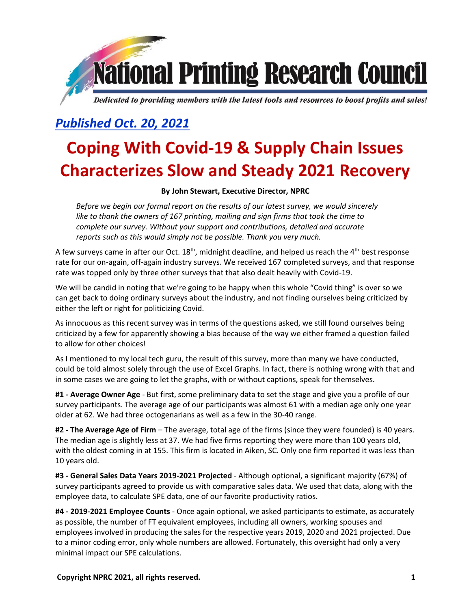

# *Published Oct. 20, 2021*

# **Coping With Covid-19 & Supply Chain Issues Characterizes Slow and Steady 2021 Recovery**

## **By John Stewart, Executive Director, NPRC**

*Before we begin our formal report on the results of our latest survey, we would sincerely like to thank the owners of 167 printing, mailing and sign firms that took the time to complete our survey. Without your support and contributions, detailed and accurate reports such as this would simply not be possible. Thank you very much.*

A few surveys came in after our Oct. 18<sup>th</sup>, midnight deadline, and helped us reach the 4<sup>th</sup> best response rate for our on-again, off-again industry surveys. We received 167 completed surveys, and that response rate was topped only by three other surveys that that also dealt heavily with Covid-19.

We will be candid in noting that we're going to be happy when this whole "Covid thing" is over so we can get back to doing ordinary surveys about the industry, and not finding ourselves being criticized by either the left or right for politicizing Covid.

As innocuous as this recent survey was in terms of the questions asked, we still found ourselves being criticized by a few for apparently showing a bias because of the way we either framed a question failed to allow for other choices!

As I mentioned to my local tech guru, the result of this survey, more than many we have conducted, could be told almost solely through the use of Excel Graphs. In fact, there is nothing wrong with that and in some cases we are going to let the graphs, with or without captions, speak for themselves.

**#1 - Average Owner Age** - But first, some preliminary data to set the stage and give you a profile of our survey participants. The average age of our participants was almost 61 with a median age only one year older at 62. We had three octogenarians as well as a few in the 30-40 range.

**#2 - The Average Age of Firm** – The average, total age of the firms (since they were founded) is 40 years. The median age is slightly less at 37. We had five firms reporting they were more than 100 years old, with the oldest coming in at 155. This firm is located in Aiken, SC. Only one firm reported it was less than 10 years old.

**#3 - General Sales Data Years 2019-2021 Projected** - Although optional, a significant majority (67%) of survey participants agreed to provide us with comparative sales data. We used that data, along with the employee data, to calculate SPE data, one of our favorite productivity ratios.

**#4 - 2019-2021 Employee Counts** - Once again optional, we asked participants to estimate, as accurately as possible, the number of FT equivalent employees, including all owners, working spouses and employees involved in producing the sales for the respective years 2019, 2020 and 2021 projected. Due to a minor coding error, only whole numbers are allowed. Fortunately, this oversight had only a very minimal impact our SPE calculations.

**Copyright NPRC 2021, all rights reserved. 1**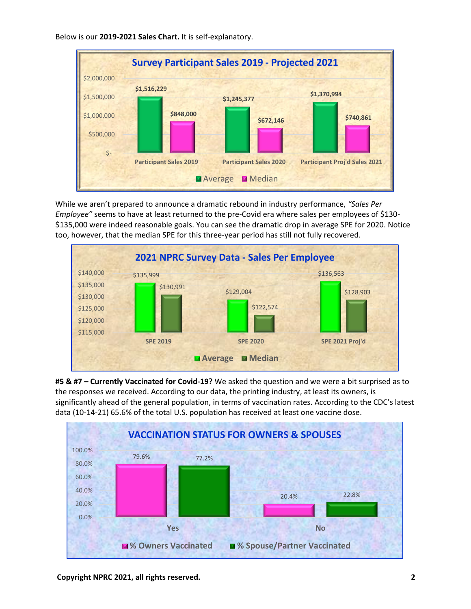

Below is our **2019-2021 Sales Chart.** It is self-explanatory.

While we aren't prepared to announce a dramatic rebound in industry performance, *"Sales Per Employee"* seems to have at least returned to the pre-Covid era where sales per employees of \$130- \$135,000 were indeed reasonable goals. You can see the dramatic drop in average SPE for 2020. Notice too, however, that the median SPE for this three-year period has still not fully recovered.



**#5 & #7 – Currently Vaccinated for Covid-19?** We asked the question and we were a bit surprised as to the responses we received. According to our data, the printing industry, at least its owners, is significantly ahead of the general population, in terms of vaccination rates. According to the CDC's latest data (10-14-21) 65.6% of the total U.S. population has received at least one vaccine dose.

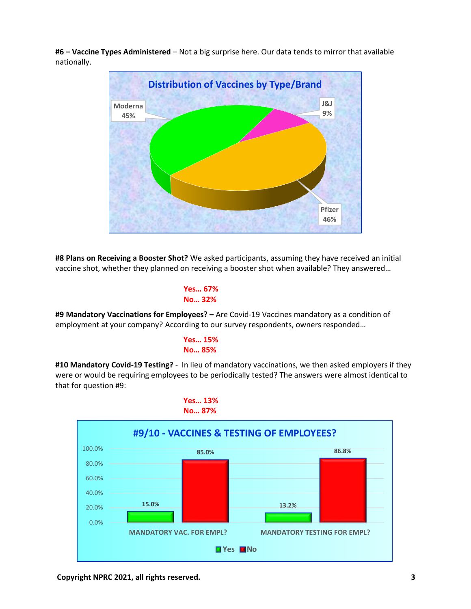**#6 – Vaccine Types Administered** – Not a big surprise here. Our data tends to mirror that available nationally.



**#8 Plans on Receiving a Booster Shot?** We asked participants, assuming they have received an initial vaccine shot, whether they planned on receiving a booster shot when available? They answered…

```
 Yes… 67%
No… 32%
```
**#9 Mandatory Vaccinations for Employees? –** Are Covid-19 Vaccines mandatory as a condition of employment at your company? According to our survey respondents, owners responded…

**Yes… 15% No… 85%**

**#10 Mandatory Covid-19 Testing?** - In lieu of mandatory vaccinations, we then asked employers if they were or would be requiring employees to be periodically tested? The answers were almost identical to that for question #9:

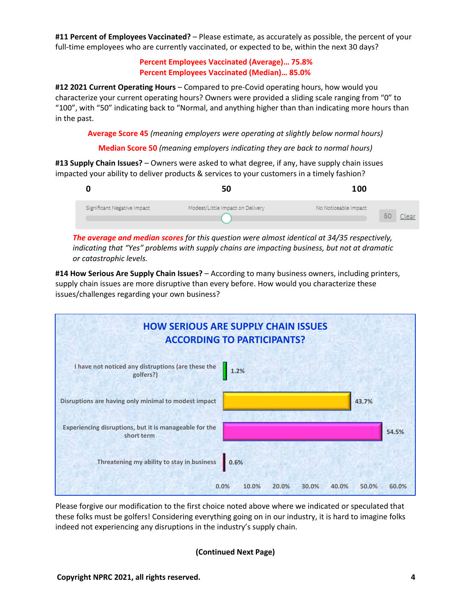**#11 Percent of Employees Vaccinated?** – Please estimate, as accurately as possible, the percent of your full-time employees who are currently vaccinated, or expected to be, within the next 30 days?

> **Percent Employees Vaccinated (Average)… 75.8% Percent Employees Vaccinated (Median)… 85.0%**

**#12 2021 Current Operating Hours** – Compared to pre-Covid operating hours, how would you characterize your current operating hours? Owners were provided a sliding scale ranging from "0" to "100", with "50" indicating back to "Normal, and anything higher than than indicating more hours than in the past.

**Average Score 45** *(meaning employers were operating at slightly below normal hours)*

**Median Score 50** *(meaning employers indicating they are back to normal hours)*

**#13 Supply Chain Issues?** – Owners were asked to what degree, if any, have supply chain issues impacted your ability to deliver products & services to your customers in a timely fashion?

|                             | 50                               | 100                  |             |
|-----------------------------|----------------------------------|----------------------|-------------|
| Significant Negative Impact | Modest/Little Impact on Delivery | No Noticeable Impact | 50<br>Clear |

*The average and median scores for this question were almost identical at 34/35 respectively, indicating that "Yes" problems with supply chains are impacting business, but not at dramatic or catastrophic levels.*

**#14 How Serious Are Supply Chain Issues?** – According to many business owners, including printers, supply chain issues are more disruptive than every before. How would you characterize these issues/challenges regarding your own business?



Please forgive our modification to the first choice noted above where we indicated or speculated that these folks must be golfers! Considering everything going on in our industry, it is hard to imagine folks indeed not experiencing any disruptions in the industry's supply chain.

#### **(Continued Next Page)**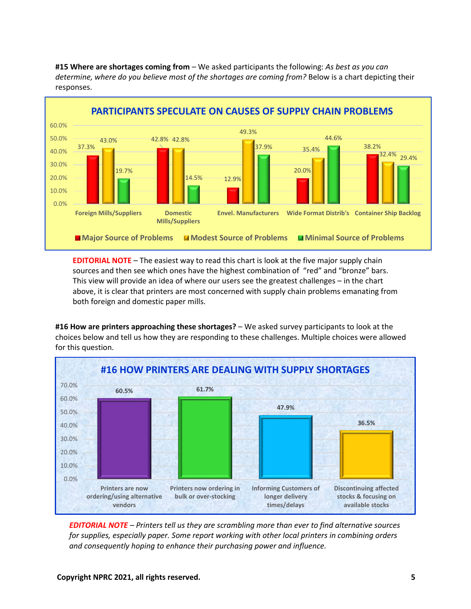

**#15 Where are shortages coming from** – We asked participants the following: *As best as you can determine, where do you believe most of the shortages are coming from?* Below is a chart depicting their responses.

**EDITORIAL NOTE** – The easiest way to read this chart is look at the five major supply chain sources and then see which ones have the highest combination of "red" and "bronze" bars. This view will provide an idea of where our users see the greatest challenges – in the chart above, it is clear that printers are most concerned with supply chain problems emanating from both foreign and domestic paper mills.

**#16 How are printers approaching these shortages?** – We asked survey participants to look at the choices below and tell us how they are responding to these challenges. Multiple choices were allowed for this question.



*EDITORIAL NOTE – Printers tell us they are scrambling more than ever to find alternative sources for supplies, especially paper. Some report working with other local printers in combining orders and consequently hoping to enhance their purchasing power and influence.*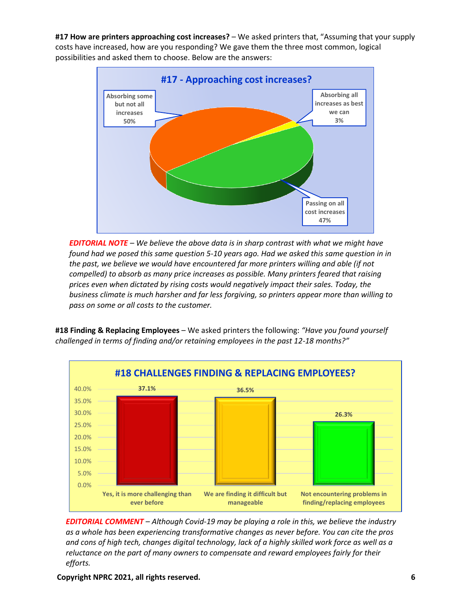**#17 How are printers approaching cost increases?** – We asked printers that, "Assuming that your supply costs have increased, how are you responding? We gave them the three most common, logical possibilities and asked them to choose. Below are the answers:



*EDITORIAL NOTE – We believe the above data is in sharp contrast with what we might have found had we posed this same question 5-10 years ago. Had we asked this same question in in the past, we believe we would have encountered far more printers willing and able (if not compelled) to absorb as many price increases as possible. Many printers feared that raising prices even when dictated by rising costs would negatively impact their sales. Today, the business climate is much harsher and far less forgiving, so printers appear more than willing to pass on some or all costs to the customer.* 



**#18 Finding & Replacing Employees** – We asked printers the following: *"Have you found yourself challenged in terms of finding and/or retaining employees in the past 12-18 months?"*

*EDITORIAL COMMENT – Although Covid-19 may be playing a role in this, we believe the industry as a whole has been experiencing transformative changes as never before. You can cite the pros and cons of high tech, changes digital technology, lack of a highly skilled work force as well as a reluctance on the part of many owners to compensate and reward employees fairly for their efforts.*

**Copyright NPRC 2021, all rights reserved. 6**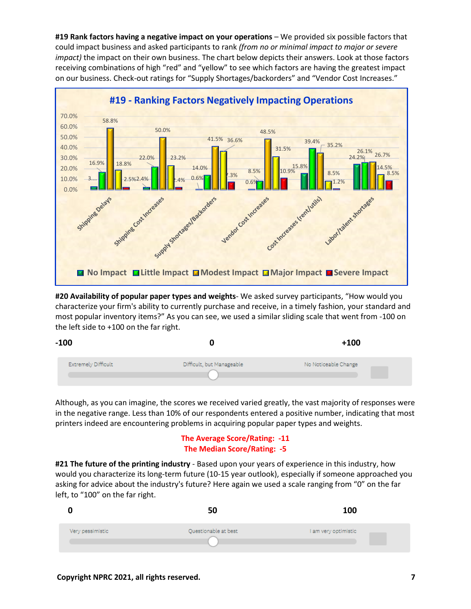**#19 Rank factors having a negative impact on your operations** – We provided six possible factors that could impact business and asked participants to rank *(from no or minimal impact to major or severe impact)* the impact on their own business. The chart below depicts their answers. Look at those factors receiving combinations of high "red" and "yellow" to see which factors are having the greatest impact on our business. Check-out ratings for "Supply Shortages/backorders" and "Vendor Cost Increases."



**#20 Availability of popular paper types and weights**- We asked survey participants, "How would you characterize your firm's ability to currently purchase and receive, in a timely fashion, your standard and most popular inventory items?" As you can see, we used a similar sliding scale that went from -100 on the left side to +100 on the far right.

| $-100$              |                           | $+100$               |
|---------------------|---------------------------|----------------------|
| Extremely Difficult | Difficult, but Manageable | No Noticeable Change |

Although, as you can imagine, the scores we received varied greatly, the vast majority of responses were in the negative range. Less than 10% of our respondents entered a positive number, indicating that most printers indeed are encountering problems in acquiring popular paper types and weights.

## **The Average Score/Rating: -11 The Median Score/Rating: -5**

**#21 The future of the printing industry** - Based upon your years of experience in this industry, how would you characterize its long-term future (10-15 year outlook), especially if someone approached you asking for advice about the industry's future? Here again we used a scale ranging from "0" on the far left, to "100" on the far right.

|  |                  | 50                   | 100                  |
|--|------------------|----------------------|----------------------|
|  | Very pessimistic | Questionable at best | I am very optimistic |